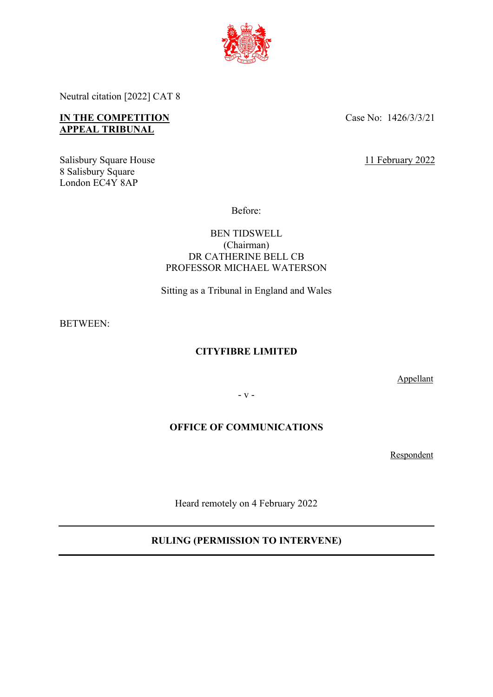

Neutral citation [2022] CAT 8

# **IN THE COMPETITION APPEAL TRIBUNAL**

Case No: 1426/3/3/21

Salisbury Square House 8 Salisbury Square London EC4Y 8AP

11 February 2022

Before:

## BEN TIDSWELL (Chairman) DR CATHERINE BELL CB PROFESSOR MICHAEL WATERSON

Sitting as a Tribunal in England and Wales

BETWEEN:

# **CITYFIBRE LIMITED**

Appellant

- v -

# **OFFICE OF COMMUNICATIONS**

Respondent

Heard remotely on 4 February 2022

# **RULING (PERMISSION TO INTERVENE)**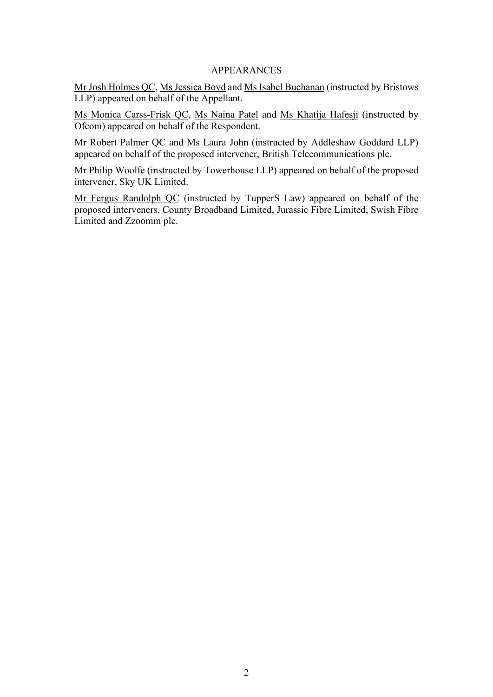### APPEARANCES

Mr Josh Holmes QC, Ms Jessica Boyd and Ms Isabel Buchanan (instructed by Bristows LLP) appeared on behalf of the Appellant.

Ms Monica Carss-Frisk QC, Ms Naina Patel and Ms Khatija Hafesji (instructed by Ofcom) appeared on behalf of the Respondent.

Mr Robert Palmer QC and Ms Laura John (instructed by Addleshaw Goddard LLP) appeared on behalf of the proposed intervener, British Telecommunications plc.

Mr Philip Woolfe (instructed by Towerhouse LLP) appeared on behalf of the proposed intervener, Sky UK Limited.

Mr Fergus Randolph QC (instructed by TupperS Law) appeared on behalf of the proposed interveners, County Broadband Limited, Jurassic Fibre Limited, Swish Fibre Limited and Zzoomm plc.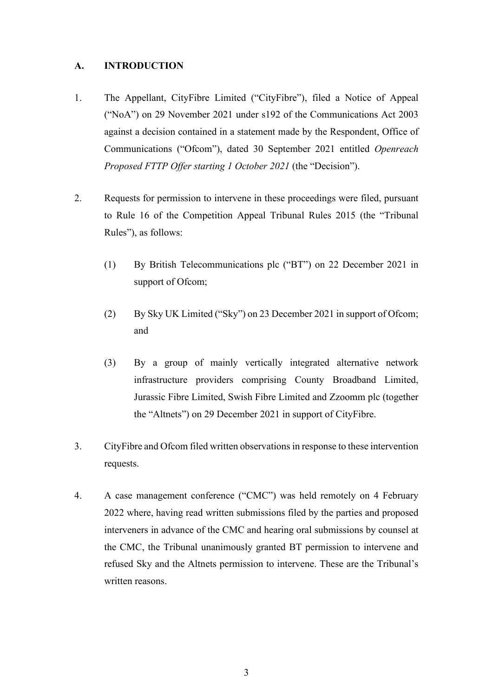## **A. INTRODUCTION**

- 1. The Appellant, CityFibre Limited ("CityFibre"), filed a Notice of Appeal ("NoA") on 29 November 2021 under s192 of the Communications Act 2003 against a decision contained in a statement made by the Respondent, Office of Communications ("Ofcom"), dated 30 September 2021 entitled *Openreach Proposed FTTP Offer starting 1 October 2021* (the "Decision").
- 2. Requests for permission to intervene in these proceedings were filed, pursuant to Rule 16 of the Competition Appeal Tribunal Rules 2015 (the "Tribunal Rules"), as follows:
	- (1) By British Telecommunications plc ("BT") on 22 December 2021 in support of Ofcom;
	- (2) By Sky UK Limited ("Sky") on 23 December 2021 in support of Ofcom; and
	- (3) By a group of mainly vertically integrated alternative network infrastructure providers comprising County Broadband Limited, Jurassic Fibre Limited, Swish Fibre Limited and Zzoomm plc (together the "Altnets") on 29 December 2021 in support of CityFibre.
- 3. CityFibre and Ofcom filed written observations in response to these intervention requests.
- 4. A case management conference ("CMC") was held remotely on 4 February 2022 where, having read written submissions filed by the parties and proposed interveners in advance of the CMC and hearing oral submissions by counsel at the CMC, the Tribunal unanimously granted BT permission to intervene and refused Sky and the Altnets permission to intervene. These are the Tribunal's written reasons.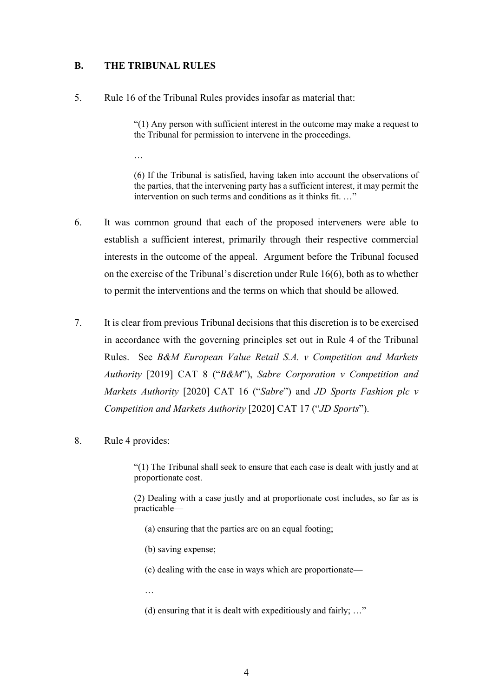## **B. THE TRIBUNAL RULES**

…

5. Rule 16 of the Tribunal Rules provides insofar as material that:

"(1) Any person with sufficient interest in the outcome may make a request to the Tribunal for permission to intervene in the proceedings.

(6) If the Tribunal is satisfied, having taken into account the observations of the parties, that the intervening party has a sufficient interest, it may permit the intervention on such terms and conditions as it thinks fit. ..."

- 6. It was common ground that each of the proposed interveners were able to establish a sufficient interest, primarily through their respective commercial interests in the outcome of the appeal. Argument before the Tribunal focused on the exercise of the Tribunal's discretion under Rule 16(6), both as to whether to permit the interventions and the terms on which that should be allowed.
- 7. It is clear from previous Tribunal decisions that this discretion is to be exercised in accordance with the governing principles set out in Rule 4 of the Tribunal Rules. See *B&M European Value Retail S.A. v Competition and Markets Authority* [2019] CAT 8 ("*B&M*"), *Sabre Corporation v Competition and Markets Authority* [2020] CAT 16 ("*Sabre*") and *JD Sports Fashion plc v Competition and Markets Authority* [2020] CAT 17 ("*JD Sports*").
- 8. Rule 4 provides:

"(1) The Tribunal shall seek to ensure that each case is dealt with justly and at proportionate cost.

(2) Dealing with a case justly and at proportionate cost includes, so far as is practicable—

- (a) ensuring that the parties are on an equal footing;
- (b) saving expense;
- (c) dealing with the case in ways which are proportionate—
- …

(d) ensuring that it is dealt with expeditiously and fairly; …"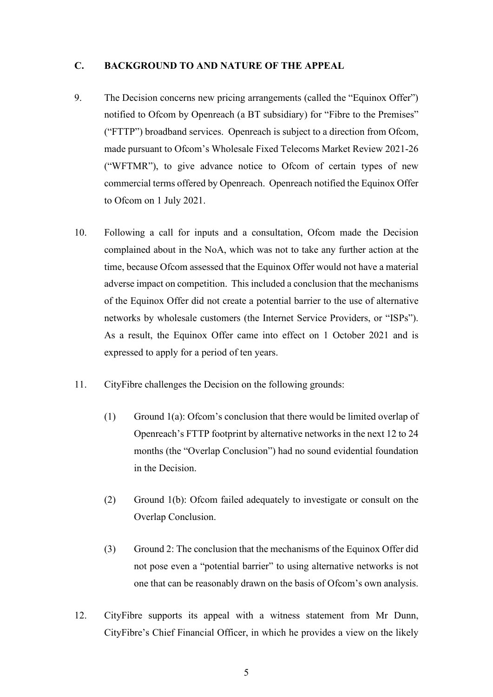#### **C. BACKGROUND TO AND NATURE OF THE APPEAL**

- 9. The Decision concerns new pricing arrangements (called the "Equinox Offer") notified to Ofcom by Openreach (a BT subsidiary) for "Fibre to the Premises" ("FTTP") broadband services. Openreach is subject to a direction from Ofcom, made pursuant to Ofcom's Wholesale Fixed Telecoms Market Review 2021-26 ("WFTMR"), to give advance notice to Ofcom of certain types of new commercial terms offered by Openreach. Openreach notified the Equinox Offer to Ofcom on 1 July 2021.
- 10. Following a call for inputs and a consultation, Ofcom made the Decision complained about in the NoA, which was not to take any further action at the time, because Ofcom assessed that the Equinox Offer would not have a material adverse impact on competition. This included a conclusion that the mechanisms of the Equinox Offer did not create a potential barrier to the use of alternative networks by wholesale customers (the Internet Service Providers, or "ISPs"). As a result, the Equinox Offer came into effect on 1 October 2021 and is expressed to apply for a period of ten years.
- 11. CityFibre challenges the Decision on the following grounds:
	- (1) Ground 1(a): Ofcom's conclusion that there would be limited overlap of Openreach's FTTP footprint by alternative networks in the next 12 to 24 months (the "Overlap Conclusion") had no sound evidential foundation in the Decision.
	- (2) Ground 1(b): Ofcom failed adequately to investigate or consult on the Overlap Conclusion.
	- (3) Ground 2: The conclusion that the mechanisms of the Equinox Offer did not pose even a "potential barrier" to using alternative networks is not one that can be reasonably drawn on the basis of Ofcom's own analysis.
- 12. CityFibre supports its appeal with a witness statement from Mr Dunn, CityFibre's Chief Financial Officer, in which he provides a view on the likely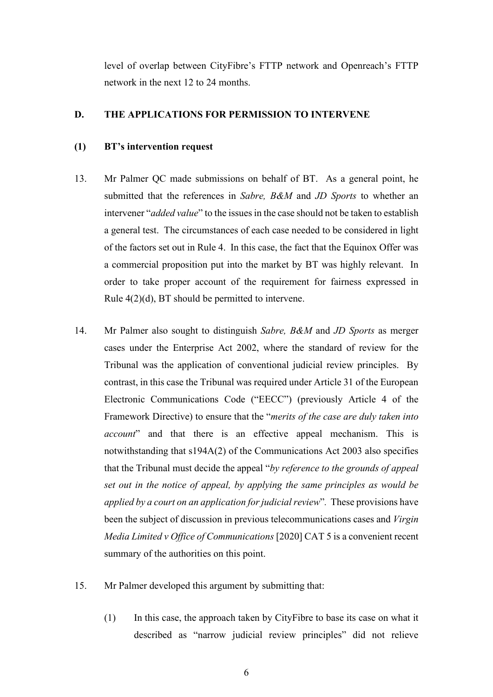level of overlap between CityFibre's FTTP network and Openreach's FTTP network in the next 12 to 24 months.

## **D. THE APPLICATIONS FOR PERMISSION TO INTERVENE**

#### **(1) BT's intervention request**

- 13. Mr Palmer QC made submissions on behalf of BT. As a general point, he submitted that the references in *Sabre, B&M* and *JD Sports* to whether an intervener "*added value*" to the issues in the case should not be taken to establish a general test. The circumstances of each case needed to be considered in light of the factors set out in Rule 4. In this case, the fact that the Equinox Offer was a commercial proposition put into the market by BT was highly relevant. In order to take proper account of the requirement for fairness expressed in Rule 4(2)(d), BT should be permitted to intervene.
- 14. Mr Palmer also sought to distinguish *Sabre, B&M* and *JD Sports* as merger cases under the Enterprise Act 2002, where the standard of review for the Tribunal was the application of conventional judicial review principles. By contrast, in this case the Tribunal was required under Article 31 of the European Electronic Communications Code ("EECC") (previously Article 4 of the Framework Directive) to ensure that the "*merits of the case are duly taken into account*" and that there is an effective appeal mechanism. This is notwithstanding that s194A(2) of the Communications Act 2003 also specifies that the Tribunal must decide the appeal "*by reference to the grounds of appeal set out in the notice of appeal, by applying the same principles as would be applied by a court on an application for judicial review*"*.* These provisions have been the subject of discussion in previous telecommunications cases and *Virgin Media Limited v Office of Communications* [2020] CAT 5 is a convenient recent summary of the authorities on this point.
- 15. Mr Palmer developed this argument by submitting that:
	- (1) In this case, the approach taken by CityFibre to base its case on what it described as "narrow judicial review principles" did not relieve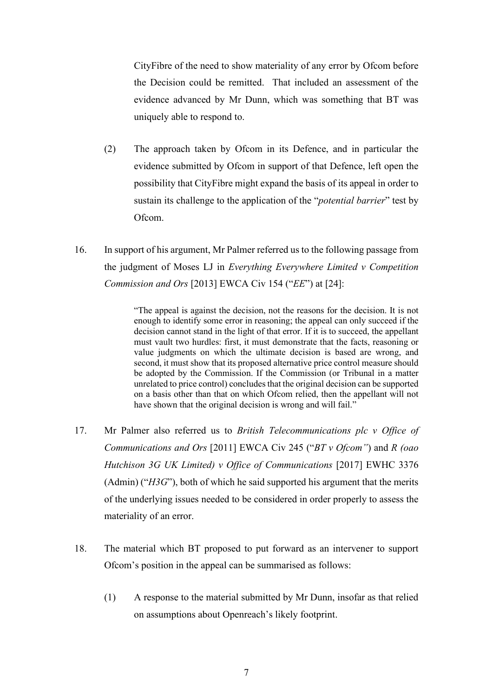CityFibre of the need to show materiality of any error by Ofcom before the Decision could be remitted. That included an assessment of the evidence advanced by Mr Dunn, which was something that BT was uniquely able to respond to.

- (2) The approach taken by Ofcom in its Defence, and in particular the evidence submitted by Ofcom in support of that Defence, left open the possibility that CityFibre might expand the basis of its appeal in order to sustain its challenge to the application of the "*potential barrier*" test by Ofcom.
- 16. In support of his argument, Mr Palmer referred us to the following passage from the judgment of Moses LJ in *Everything Everywhere Limited v Competition Commission and Ors* [2013] EWCA Civ 154 ("*EE*") at [24]:

"The appeal is against the decision, not the reasons for the decision. It is not enough to identify some error in reasoning; the appeal can only succeed if the decision cannot stand in the light of that error. If it is to succeed, the appellant must vault two hurdles: first, it must demonstrate that the facts, reasoning or value judgments on which the ultimate decision is based are wrong, and second, it must show that its proposed alternative price control measure should be adopted by the Commission. If the Commission (or Tribunal in a matter unrelated to price control) concludes that the original decision can be supported on a basis other than that on which Ofcom relied, then the appellant will not have shown that the original decision is wrong and will fail."

- 17. Mr Palmer also referred us to *British Telecommunications plc v Office of Communications and Ors* [2011] EWCA Civ 245 ("*BT v Ofcom"*) and *R (oao Hutchison 3G UK Limited) v Office of Communications* [2017] EWHC 3376 (Admin) ("*H3G*"), both of which he said supported his argument that the merits of the underlying issues needed to be considered in order properly to assess the materiality of an error.
- 18. The material which BT proposed to put forward as an intervener to support Ofcom's position in the appeal can be summarised as follows:
	- (1) A response to the material submitted by Mr Dunn, insofar as that relied on assumptions about Openreach's likely footprint.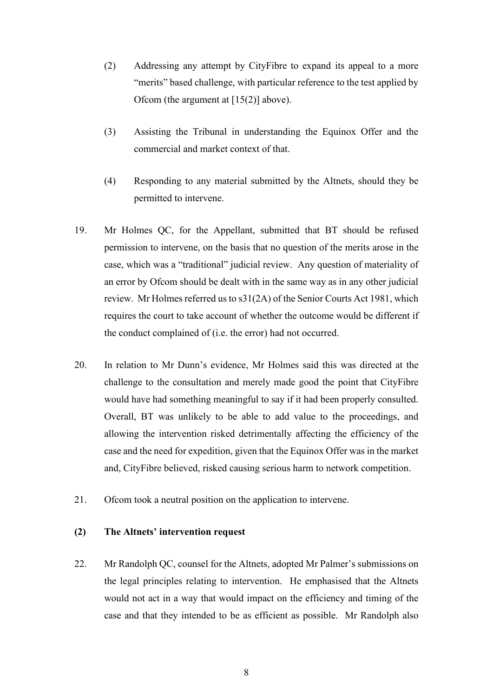- (2) Addressing any attempt by CityFibre to expand its appeal to a more "merits" based challenge, with particular reference to the test applied by Ofcom (the argument at  $[15(2)]$  above).
- (3) Assisting the Tribunal in understanding the Equinox Offer and the commercial and market context of that.
- (4) Responding to any material submitted by the Altnets, should they be permitted to intervene.
- 19. Mr Holmes QC, for the Appellant, submitted that BT should be refused permission to intervene, on the basis that no question of the merits arose in the case, which was a "traditional" judicial review. Any question of materiality of an error by Ofcom should be dealt with in the same way as in any other judicial review. Mr Holmes referred us to s31(2A) of the Senior Courts Act 1981, which requires the court to take account of whether the outcome would be different if the conduct complained of (i.e. the error) had not occurred.
- 20. In relation to Mr Dunn's evidence, Mr Holmes said this was directed at the challenge to the consultation and merely made good the point that CityFibre would have had something meaningful to say if it had been properly consulted. Overall, BT was unlikely to be able to add value to the proceedings, and allowing the intervention risked detrimentally affecting the efficiency of the case and the need for expedition, given that the Equinox Offer was in the market and, CityFibre believed, risked causing serious harm to network competition.
- 21. Ofcom took a neutral position on the application to intervene.

#### **(2) The Altnets' intervention request**

22. Mr Randolph QC, counsel for the Altnets, adopted Mr Palmer's submissions on the legal principles relating to intervention. He emphasised that the Altnets would not act in a way that would impact on the efficiency and timing of the case and that they intended to be as efficient as possible. Mr Randolph also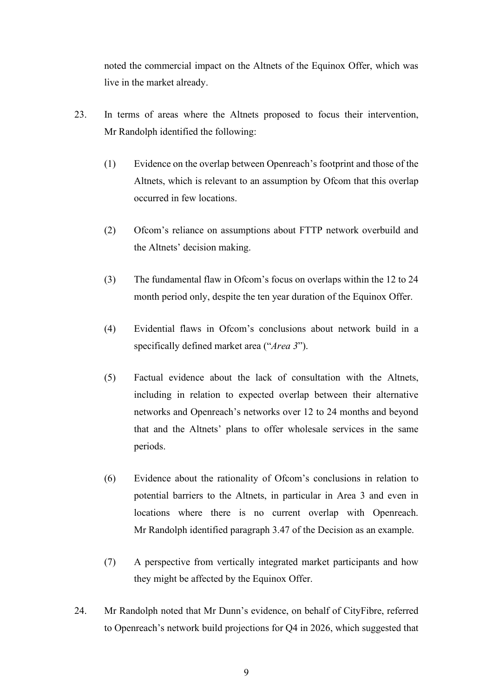noted the commercial impact on the Altnets of the Equinox Offer, which was live in the market already.

- 23. In terms of areas where the Altnets proposed to focus their intervention, Mr Randolph identified the following:
	- (1) Evidence on the overlap between Openreach's footprint and those of the Altnets, which is relevant to an assumption by Ofcom that this overlap occurred in few locations.
	- (2) Ofcom's reliance on assumptions about FTTP network overbuild and the Altnets' decision making.
	- (3) The fundamental flaw in Ofcom's focus on overlaps within the 12 to 24 month period only, despite the ten year duration of the Equinox Offer.
	- (4) Evidential flaws in Ofcom's conclusions about network build in a specifically defined market area ("*Area 3*").
	- (5) Factual evidence about the lack of consultation with the Altnets, including in relation to expected overlap between their alternative networks and Openreach's networks over 12 to 24 months and beyond that and the Altnets' plans to offer wholesale services in the same periods.
	- (6) Evidence about the rationality of Ofcom's conclusions in relation to potential barriers to the Altnets, in particular in Area 3 and even in locations where there is no current overlap with Openreach. Mr Randolph identified paragraph 3.47 of the Decision as an example.
	- (7) A perspective from vertically integrated market participants and how they might be affected by the Equinox Offer.
- 24. Mr Randolph noted that Mr Dunn's evidence, on behalf of CityFibre, referred to Openreach's network build projections for Q4 in 2026, which suggested that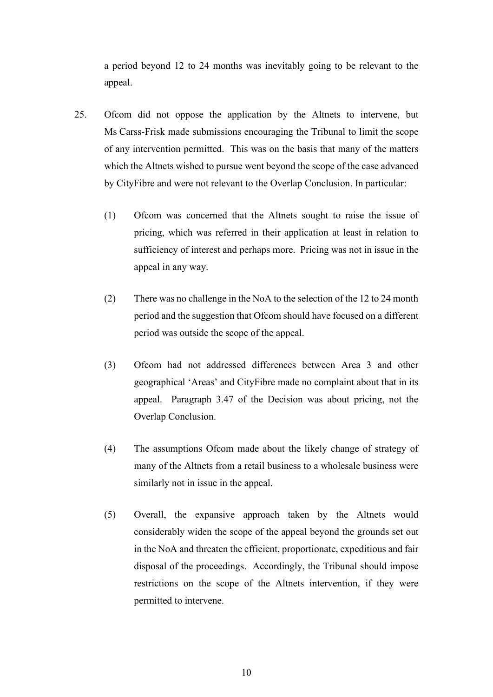a period beyond 12 to 24 months was inevitably going to be relevant to the appeal.

- 25. Ofcom did not oppose the application by the Altnets to intervene, but Ms Carss-Frisk made submissions encouraging the Tribunal to limit the scope of any intervention permitted. This was on the basis that many of the matters which the Altnets wished to pursue went beyond the scope of the case advanced by CityFibre and were not relevant to the Overlap Conclusion. In particular:
	- (1) Ofcom was concerned that the Altnets sought to raise the issue of pricing, which was referred in their application at least in relation to sufficiency of interest and perhaps more. Pricing was not in issue in the appeal in any way.
	- (2) There was no challenge in the NoA to the selection of the 12 to 24 month period and the suggestion that Ofcom should have focused on a different period was outside the scope of the appeal.
	- (3) Ofcom had not addressed differences between Area 3 and other geographical 'Areas' and CityFibre made no complaint about that in its appeal. Paragraph 3.47 of the Decision was about pricing, not the Overlap Conclusion.
	- (4) The assumptions Ofcom made about the likely change of strategy of many of the Altnets from a retail business to a wholesale business were similarly not in issue in the appeal.
	- (5) Overall, the expansive approach taken by the Altnets would considerably widen the scope of the appeal beyond the grounds set out in the NoA and threaten the efficient, proportionate, expeditious and fair disposal of the proceedings. Accordingly, the Tribunal should impose restrictions on the scope of the Altnets intervention, if they were permitted to intervene.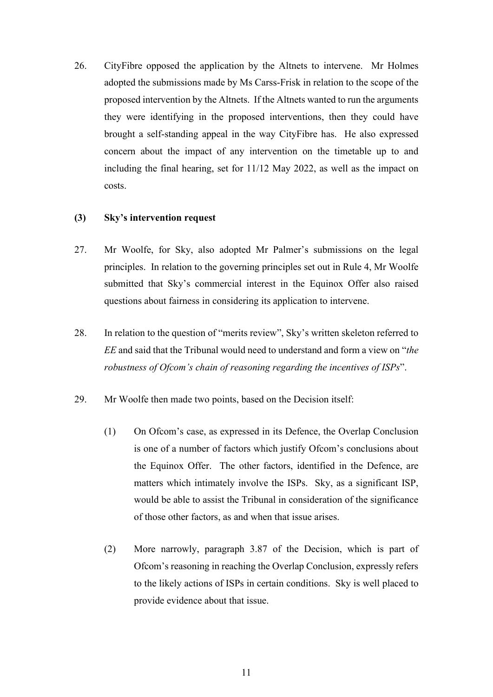26. CityFibre opposed the application by the Altnets to intervene. Mr Holmes adopted the submissions made by Ms Carss-Frisk in relation to the scope of the proposed intervention by the Altnets. If the Altnets wanted to run the arguments they were identifying in the proposed interventions, then they could have brought a self-standing appeal in the way CityFibre has. He also expressed concern about the impact of any intervention on the timetable up to and including the final hearing, set for 11/12 May 2022, as well as the impact on costs.

## **(3) Sky's intervention request**

- 27. Mr Woolfe, for Sky, also adopted Mr Palmer's submissions on the legal principles. In relation to the governing principles set out in Rule 4, Mr Woolfe submitted that Sky's commercial interest in the Equinox Offer also raised questions about fairness in considering its application to intervene.
- 28. In relation to the question of "merits review", Sky's written skeleton referred to *EE* and said that the Tribunal would need to understand and form a view on "*the robustness of Ofcom's chain of reasoning regarding the incentives of ISPs*".
- 29. Mr Woolfe then made two points, based on the Decision itself:
	- (1) On Ofcom's case, as expressed in its Defence, the Overlap Conclusion is one of a number of factors which justify Ofcom's conclusions about the Equinox Offer. The other factors, identified in the Defence, are matters which intimately involve the ISPs. Sky, as a significant ISP, would be able to assist the Tribunal in consideration of the significance of those other factors, as and when that issue arises.
	- (2) More narrowly, paragraph 3.87 of the Decision, which is part of Ofcom's reasoning in reaching the Overlap Conclusion, expressly refers to the likely actions of ISPs in certain conditions. Sky is well placed to provide evidence about that issue.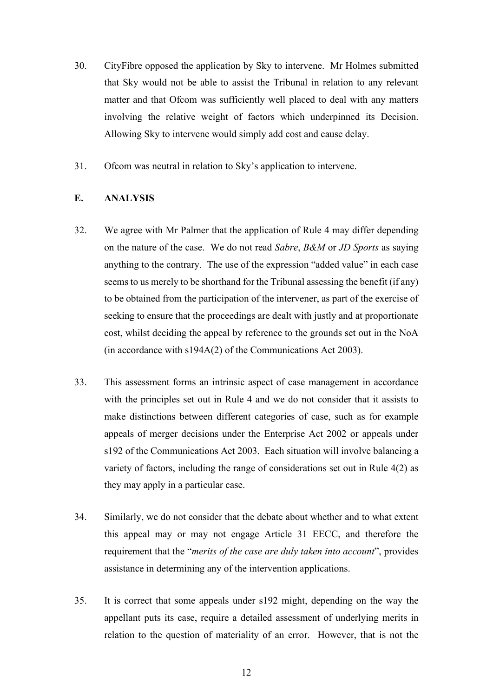- 30. CityFibre opposed the application by Sky to intervene. Mr Holmes submitted that Sky would not be able to assist the Tribunal in relation to any relevant matter and that Ofcom was sufficiently well placed to deal with any matters involving the relative weight of factors which underpinned its Decision. Allowing Sky to intervene would simply add cost and cause delay.
- 31. Ofcom was neutral in relation to Sky's application to intervene.

## **E. ANALYSIS**

- 32. We agree with Mr Palmer that the application of Rule 4 may differ depending on the nature of the case. We do not read *Sabre*, *B&M* or *JD Sports* as saying anything to the contrary. The use of the expression "added value" in each case seems to us merely to be shorthand for the Tribunal assessing the benefit (if any) to be obtained from the participation of the intervener, as part of the exercise of seeking to ensure that the proceedings are dealt with justly and at proportionate cost, whilst deciding the appeal by reference to the grounds set out in the NoA (in accordance with s194A(2) of the Communications Act 2003).
- 33. This assessment forms an intrinsic aspect of case management in accordance with the principles set out in Rule 4 and we do not consider that it assists to make distinctions between different categories of case, such as for example appeals of merger decisions under the Enterprise Act 2002 or appeals under s192 of the Communications Act 2003. Each situation will involve balancing a variety of factors, including the range of considerations set out in Rule 4(2) as they may apply in a particular case.
- 34. Similarly, we do not consider that the debate about whether and to what extent this appeal may or may not engage Article 31 EECC, and therefore the requirement that the "*merits of the case are duly taken into account*", provides assistance in determining any of the intervention applications.
- 35. It is correct that some appeals under s192 might, depending on the way the appellant puts its case, require a detailed assessment of underlying merits in relation to the question of materiality of an error. However, that is not the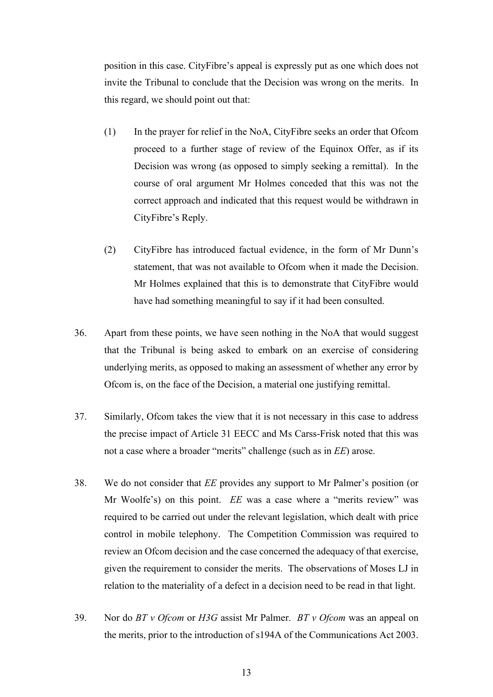position in this case. CityFibre's appeal is expressly put as one which does not invite the Tribunal to conclude that the Decision was wrong on the merits. In this regard, we should point out that:

- (1) In the prayer for relief in the NoA, CityFibre seeks an order that Ofcom proceed to a further stage of review of the Equinox Offer, as if its Decision was wrong (as opposed to simply seeking a remittal). In the course of oral argument Mr Holmes conceded that this was not the correct approach and indicated that this request would be withdrawn in CityFibre's Reply.
- (2) CityFibre has introduced factual evidence, in the form of Mr Dunn's statement, that was not available to Ofcom when it made the Decision. Mr Holmes explained that this is to demonstrate that CityFibre would have had something meaningful to say if it had been consulted.
- 36. Apart from these points, we have seen nothing in the NoA that would suggest that the Tribunal is being asked to embark on an exercise of considering underlying merits, as opposed to making an assessment of whether any error by Ofcom is, on the face of the Decision, a material one justifying remittal.
- 37. Similarly, Ofcom takes the view that it is not necessary in this case to address the precise impact of Article 31 EECC and Ms Carss-Frisk noted that this was not a case where a broader "merits" challenge (such as in *EE*) arose.
- 38. We do not consider that *EE* provides any support to Mr Palmer's position (or Mr Woolfe's) on this point. *EE* was a case where a "merits review" was required to be carried out under the relevant legislation, which dealt with price control in mobile telephony. The Competition Commission was required to review an Ofcom decision and the case concerned the adequacy of that exercise, given the requirement to consider the merits. The observations of Moses LJ in relation to the materiality of a defect in a decision need to be read in that light.
- 39. Nor do *BT v Ofcom* or *H3G* assist Mr Palmer. *BT v Ofcom* was an appeal on the merits, prior to the introduction of s194A of the Communications Act 2003.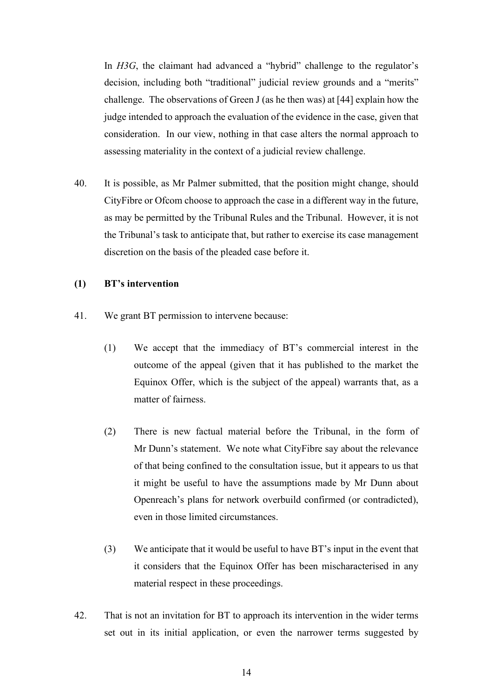In *H3G*, the claimant had advanced a "hybrid" challenge to the regulator's decision, including both "traditional" judicial review grounds and a "merits" challenge. The observations of Green J (as he then was) at [44] explain how the judge intended to approach the evaluation of the evidence in the case, given that consideration. In our view, nothing in that case alters the normal approach to assessing materiality in the context of a judicial review challenge.

40. It is possible, as Mr Palmer submitted, that the position might change, should CityFibre or Ofcom choose to approach the case in a different way in the future, as may be permitted by the Tribunal Rules and the Tribunal. However, it is not the Tribunal's task to anticipate that, but rather to exercise its case management discretion on the basis of the pleaded case before it.

#### **(1) BT's intervention**

- 41. We grant BT permission to intervene because:
	- (1) We accept that the immediacy of BT's commercial interest in the outcome of the appeal (given that it has published to the market the Equinox Offer, which is the subject of the appeal) warrants that, as a matter of fairness.
	- (2) There is new factual material before the Tribunal, in the form of Mr Dunn's statement. We note what CityFibre say about the relevance of that being confined to the consultation issue, but it appears to us that it might be useful to have the assumptions made by Mr Dunn about Openreach's plans for network overbuild confirmed (or contradicted), even in those limited circumstances.
	- (3) We anticipate that it would be useful to have BT's input in the event that it considers that the Equinox Offer has been mischaracterised in any material respect in these proceedings.
- 42. That is not an invitation for BT to approach its intervention in the wider terms set out in its initial application, or even the narrower terms suggested by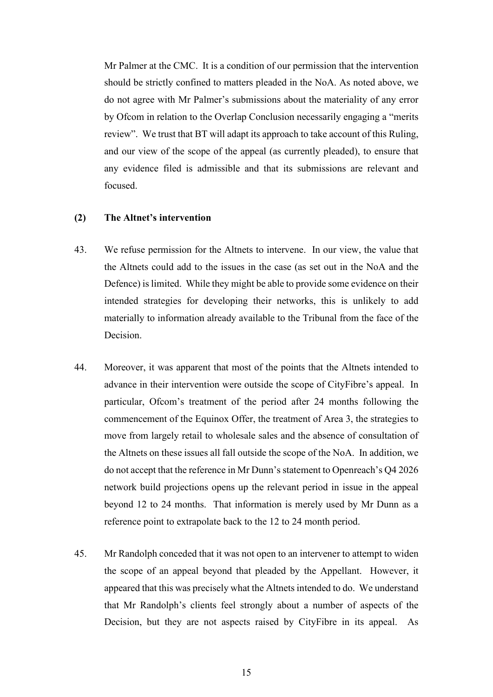Mr Palmer at the CMC. It is a condition of our permission that the intervention should be strictly confined to matters pleaded in the NoA. As noted above, we do not agree with Mr Palmer's submissions about the materiality of any error by Ofcom in relation to the Overlap Conclusion necessarily engaging a "merits review". We trust that BT will adapt its approach to take account of this Ruling, and our view of the scope of the appeal (as currently pleaded), to ensure that any evidence filed is admissible and that its submissions are relevant and focused.

#### **(2) The Altnet's intervention**

- 43. We refuse permission for the Altnets to intervene. In our view, the value that the Altnets could add to the issues in the case (as set out in the NoA and the Defence) is limited. While they might be able to provide some evidence on their intended strategies for developing their networks, this is unlikely to add materially to information already available to the Tribunal from the face of the **Decision**
- 44. Moreover, it was apparent that most of the points that the Altnets intended to advance in their intervention were outside the scope of CityFibre's appeal. In particular, Ofcom's treatment of the period after 24 months following the commencement of the Equinox Offer, the treatment of Area 3, the strategies to move from largely retail to wholesale sales and the absence of consultation of the Altnets on these issues all fall outside the scope of the NoA. In addition, we do not accept that the reference in Mr Dunn's statement to Openreach's Q4 2026 network build projections opens up the relevant period in issue in the appeal beyond 12 to 24 months. That information is merely used by Mr Dunn as a reference point to extrapolate back to the 12 to 24 month period.
- 45. Mr Randolph conceded that it was not open to an intervener to attempt to widen the scope of an appeal beyond that pleaded by the Appellant. However, it appeared that this was precisely what the Altnets intended to do. We understand that Mr Randolph's clients feel strongly about a number of aspects of the Decision, but they are not aspects raised by CityFibre in its appeal. As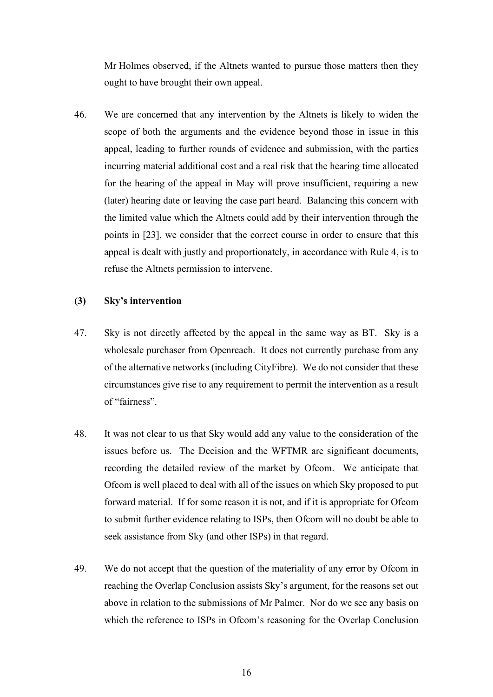Mr Holmes observed, if the Altnets wanted to pursue those matters then they ought to have brought their own appeal.

46. We are concerned that any intervention by the Altnets is likely to widen the scope of both the arguments and the evidence beyond those in issue in this appeal, leading to further rounds of evidence and submission, with the parties incurring material additional cost and a real risk that the hearing time allocated for the hearing of the appeal in May will prove insufficient, requiring a new (later) hearing date or leaving the case part heard. Balancing this concern with the limited value which the Altnets could add by their intervention through the points in [23], we consider that the correct course in order to ensure that this appeal is dealt with justly and proportionately, in accordance with Rule 4, is to refuse the Altnets permission to intervene.

#### **(3) Sky's intervention**

- 47. Sky is not directly affected by the appeal in the same way as BT. Sky is a wholesale purchaser from Openreach. It does not currently purchase from any of the alternative networks (including CityFibre). We do not consider that these circumstances give rise to any requirement to permit the intervention as a result of "fairness".
- 48. It was not clear to us that Sky would add any value to the consideration of the issues before us. The Decision and the WFTMR are significant documents, recording the detailed review of the market by Ofcom. We anticipate that Ofcom is well placed to deal with all of the issues on which Sky proposed to put forward material. If for some reason it is not, and if it is appropriate for Ofcom to submit further evidence relating to ISPs, then Ofcom will no doubt be able to seek assistance from Sky (and other ISPs) in that regard.
- 49. We do not accept that the question of the materiality of any error by Ofcom in reaching the Overlap Conclusion assists Sky's argument, for the reasons set out above in relation to the submissions of Mr Palmer. Nor do we see any basis on which the reference to ISPs in Ofcom's reasoning for the Overlap Conclusion